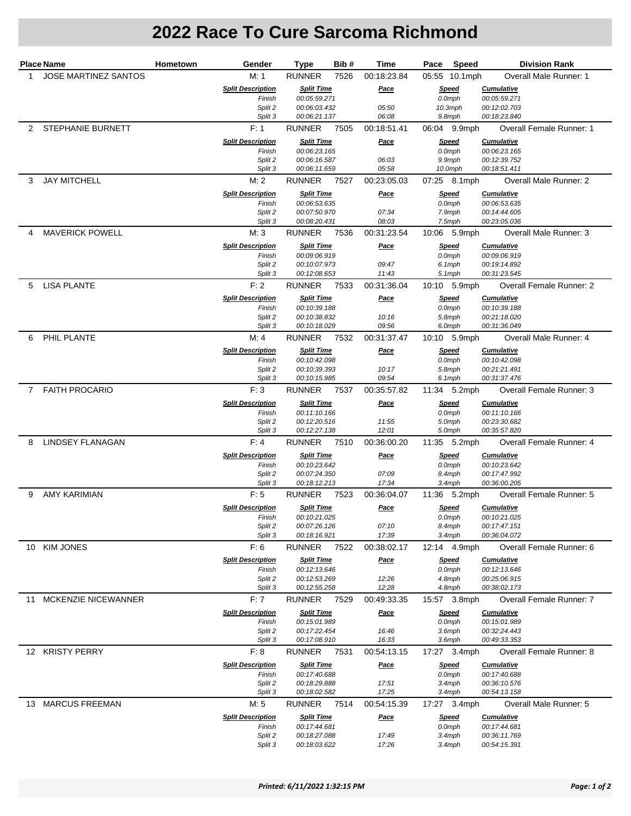## **2022 Race To Cure Sarcoma Richmond**

| <b>Place Name</b> |                             | <b>Hometown</b> | Gender                             | Type                              | Bib # | Time                 | Pace<br>Speed |                              | <b>Division Rank</b>              |                                 |
|-------------------|-----------------------------|-----------------|------------------------------------|-----------------------------------|-------|----------------------|---------------|------------------------------|-----------------------------------|---------------------------------|
| 1.                | <b>JOSE MARTINEZ SANTOS</b> |                 | M: 1                               | <b>RUNNER</b>                     | 7526  | 00:18:23.84          |               | 05:55 10.1mph                |                                   | Overall Male Runner: 1          |
|                   |                             |                 | <b>Split Description</b>           | <b>Split Time</b>                 |       | <b>Pace</b>          | <u>Speed</u>  |                              | <b>Cumulative</b>                 |                                 |
|                   |                             |                 | Finish                             | 00:05:59.271<br>00:06:03.432      |       | 05:50                |               | 0.0mph                       | 00:05:59.271<br>00:12:02.703      |                                 |
|                   |                             |                 | Split 2<br>Split 3                 | 00:06:21.137                      |       | 06:08                |               | $10.3$ mph<br>$9.8$ mph      | 00:18:23.840                      |                                 |
|                   | 2 STEPHANIE BURNETT         |                 | F: 1                               | <b>RUNNER</b>                     | 7505  | 00:18:51.41          |               | 06:04 9.9mph                 |                                   | <b>Overall Female Runner: 1</b> |
|                   |                             |                 | <b>Split Description</b>           | <b>Split Time</b>                 |       | Pace                 |               | Speed                        | <b>Cumulative</b>                 |                                 |
|                   |                             |                 | Finish                             | 00:06:23.165                      |       |                      |               | 0.0mph                       | 00:06:23.165                      |                                 |
|                   |                             |                 | Split 2<br>Split 3                 | 00:06:16.587<br>00:06:11.659      |       | 06:03<br>05:58       |               | 9.9mph<br>10.0mph            | 00:12:39.752<br>00:18:51.411      |                                 |
| 3                 | <b>JAY MITCHELL</b>         |                 | M: 2                               | <b>RUNNER</b>                     | 7527  | 00:23:05.03          |               | 07:25 8.1mph                 |                                   | Overall Male Runner: 2          |
|                   |                             |                 | <b>Split Description</b>           | <b>Split Time</b>                 |       | <b>Pace</b>          |               | <u>Speed</u>                 | <b>Cumulative</b>                 |                                 |
|                   |                             |                 | Finish                             | 00:06:53.635                      |       |                      |               | 0.0mph                       | 00:06:53.635                      |                                 |
|                   |                             |                 | Split 2<br>Split 3                 | 00:07:50.970<br>00:08:20.431      |       | 07:34<br>08:03       |               | 7.9mph<br>7.5mph             | 00:14:44.605<br>00:23:05.036      |                                 |
| 4                 | <b>MAVERICK POWELL</b>      |                 | M:3                                | RUNNER                            | 7536  | 00:31:23.54          |               | 10:06 5.9mph                 |                                   | Overall Male Runner: 3          |
|                   |                             |                 | <b>Split Description</b>           | <b>Split Time</b>                 |       | Pace                 |               | <b>Speed</b>                 | <b>Cumulative</b>                 |                                 |
|                   |                             |                 | Finish                             | 00:09:06.919                      |       |                      |               | 0.0mph                       | 00:09:06.919                      |                                 |
|                   |                             |                 | Split 2<br>Split 3                 | 00:10:07.973<br>00:12:08.653      |       | 09:47<br>11:43       |               | 6.1mph<br>$5.1$ mph          | 00:19:14.892<br>00:31:23.545      |                                 |
| 5                 | <b>LISA PLANTE</b>          |                 | F: 2                               | <b>RUNNER</b>                     | 7533  | 00:31:36.04          |               | 10:10 5.9mph                 |                                   | <b>Overall Female Runner: 2</b> |
|                   |                             |                 | <b>Split Description</b>           | <b>Split Time</b>                 |       | <u>Pace</u>          |               | <u>Speed</u>                 | <b>Cumulative</b>                 |                                 |
|                   |                             |                 | Finish                             | 00:10:39.188                      |       |                      |               | $0.0$ mph                    | 00:10:39.188                      |                                 |
|                   |                             |                 | Split 2<br>Split 3                 | 00:10:38.832<br>00:10:18.029      |       | 10:16<br>09:56       |               | 5.8mph<br>6.0mph             | 00:21:18.020<br>00:31:36.049      |                                 |
| 6                 | PHIL PLANTE                 |                 | M: 4                               | <b>RUNNER</b>                     | 7532  | 00:31:37.47          |               | 10:10 5.9mph                 |                                   | Overall Male Runner: 4          |
|                   |                             |                 | <b>Split Description</b>           | <b>Split Time</b>                 |       | <u>Pace</u>          |               | <b>Speed</b>                 | <b>Cumulative</b>                 |                                 |
|                   |                             |                 | Finish                             | 00:10:42.098                      |       |                      |               | 0.0mph                       | 00:10:42.098                      |                                 |
|                   |                             |                 | Split 2<br>Split 3                 | 00:10:39.393<br>00:10:15.985      |       | 10:17<br>09:54       |               | 5.8mph<br>6.1mph             | 00:21:21.491<br>00:31:37.476      |                                 |
| $\overline{7}$    | <b>FAITH PROCARIO</b>       |                 | F:3                                | <b>RUNNER</b>                     | 7537  | 00:35:57.82          |               | 11:34 5.2mph                 |                                   | Overall Female Runner: 3        |
|                   |                             |                 | <b>Split Description</b>           | <b>Split Time</b>                 |       | <u>Pace</u>          |               | <u>Speed</u>                 | <b>Cumulative</b>                 |                                 |
|                   |                             |                 | Finish                             | 00:11:10.166                      |       |                      |               | 0.0mph                       | 00:11:10.166                      |                                 |
|                   |                             |                 | Split 2                            | 00:12:20.516                      |       | 11:55                |               | 5.0mph                       | 00:23:30.682                      |                                 |
| 8                 | <b>LINDSEY FLANAGAN</b>     |                 | Split 3<br>F: 4                    | 00:12:27.138<br><b>RUNNER</b>     | 7510  | 12:01<br>00:36:00.20 |               | 5.0mph<br>11:35 5.2mph       | 00:35:57.820                      | Overall Female Runner: 4        |
|                   |                             |                 | <b>Split Description</b>           | <b>Split Time</b>                 |       | <u>Pace</u>          |               | <b>Speed</b>                 | <b>Cumulative</b>                 |                                 |
|                   |                             |                 | Finish                             | 00:10:23.642                      |       |                      |               | 0.0mph                       | 00:10:23.642                      |                                 |
|                   |                             |                 | Split 2                            | 00:07:24.350                      |       | 07:09                |               | 8.4mph                       | 00:17:47.992                      |                                 |
| 9                 | AMY KARIMIAN                |                 | Split 3<br>F: 5                    | 00:18:12.213<br><b>RUNNER</b>     | 7523  | 17:34<br>00:36:04.07 |               | 3.4mph<br>11:36 5.2mph       | 00:36:00.205                      | Overall Female Runner: 5        |
|                   |                             |                 | <b>Split Description</b>           | <b>Split Time</b>                 |       | Pace                 |               | <u>Speed</u>                 | <b>Cumulative</b>                 |                                 |
|                   |                             |                 | Finish                             | 00:10:21.025                      |       |                      |               | 0.0mph                       | 00:10:21.025                      |                                 |
|                   |                             |                 | Split 2                            | 00:07:26.126                      |       | 07:10                |               | 8.4mph                       | 00:17:47.151                      |                                 |
|                   | 10 KIM JONES                |                 | Split 3<br>F: 6                    | 00:18:16.921<br>RUNNER 7522       |       | 17:39<br>00:38:02.17 |               | $3.4$ mph<br>12:14 4.9mph    | 00:36:04.072                      | Overall Female Runner: 6        |
|                   |                             |                 | <b>Split Description</b>           | <b>Split Time</b>                 |       | Pace                 |               | <b>Speed</b>                 | <b>Cumulative</b>                 |                                 |
|                   |                             |                 | Finish                             | 00:12:13.646                      |       |                      |               | $0.0$ mph                    | 00:12:13.646                      |                                 |
|                   |                             |                 | Split 2                            | 00:12:53.269                      |       | 12:26                |               | 4.8mph                       | 00:25:06.915                      |                                 |
|                   | 11 MCKENZIE NICEWANNER      |                 | Split 3<br>F:7                     | 00:12:55.258<br><b>RUNNER</b>     | 7529  | 12:28<br>00:49:33.35 |               | 4.8mph<br>15:57 3.8mph       | 00:38:02.173                      | <b>Overall Female Runner: 7</b> |
|                   |                             |                 | <b>Split Description</b>           | <b>Split Time</b>                 |       | <u>Pace</u>          |               | <b>Speed</b>                 | <b>Cumulative</b>                 |                                 |
|                   |                             |                 | Finish                             | 00:15:01.989                      |       |                      |               | $0.0$ mph                    | 00:15:01.989                      |                                 |
|                   |                             |                 | Split 2                            | 00:17:22.454                      |       | 16:46                |               | $3.6$ mph                    | 00:32:24.443                      |                                 |
|                   | 12 KRISTY PERRY             |                 | Split 3                            | 00:17:08.910                      |       | 16:33                |               | 3.6mph                       | 00:49:33.353                      |                                 |
|                   |                             |                 | F: 8<br><b>Split Description</b>   | <b>RUNNER</b>                     | 7531  | 00:54:13.15          |               | 17:27 3.4mph<br><b>Speed</b> | <b>Cumulative</b>                 | Overall Female Runner: 8        |
|                   |                             |                 | Finish                             | <b>Split Time</b><br>00:17:40.688 |       | <u>Pace</u>          |               | $0.0$ mph                    | 00:17:40.688                      |                                 |
|                   |                             |                 | Split 2                            | 00:18:29.888                      |       | 17:51                |               | $3.4$ mph                    | 00:36:10.576                      |                                 |
|                   |                             |                 | Split 3                            | 00:18:02.582                      |       | 17:25                |               | $3.4$ mph                    | 00:54:13.158                      |                                 |
|                   | 13 MARCUS FREEMAN           |                 | M: 5                               | RUNNER                            | 7514  | 00:54:15.39          |               | 17:27 3.4mph                 |                                   | Overall Male Runner: 5          |
|                   |                             |                 | <b>Split Description</b><br>Finish | <b>Split Time</b><br>00:17:44.681 |       | <u>Pace</u>          |               | <b>Speed</b><br>$0.0$ mph    | <b>Cumulative</b><br>00:17:44.681 |                                 |
|                   |                             |                 | Split 2                            | 00:18:27.088                      |       | 17:49                |               | $3.4$ mph                    | 00:36:11.769                      |                                 |
|                   |                             |                 | Split 3                            | 00:18:03.622                      |       | 17:26                |               | $3.4$ mph                    | 00:54:15.391                      |                                 |